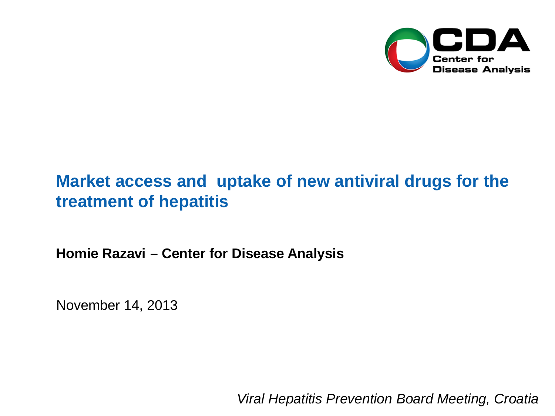

# **Market access and uptake of new antiviral drugs for the treatment of hepatitis**

**Homie Razavi – Center for Disease Analysis**

November 14, 2013

*Viral Hepatitis Prevention Board Meeting, Croatia*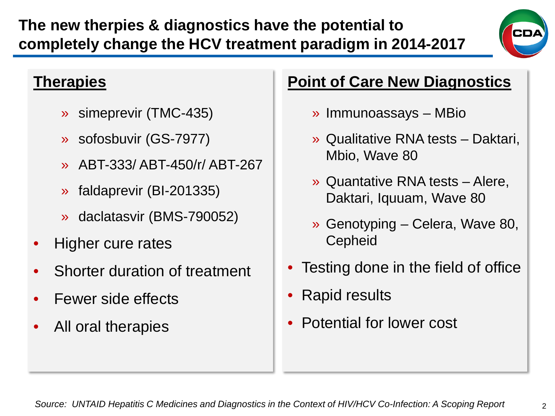» daclatasvir (BMS-790052)

• Higher cure rates

**Therapies**

Shorter duration of treatment

» simeprevir (TMC-435)

» sofosbuvir (GS-7977)

» faldaprevir (BI-201335)

» ABT-333/ ABT-450/r/ ABT-267

- Fewer side effects
- All oral therapies

## **Point of Care New Diagnostics**

- » Immunoassays MBio
- » Qualitative RNA tests Daktari, Mbio, Wave 80
- » Quantative RNA tests Alere, Daktari, Iquuam, Wave 80
- » Genotyping Celera, Wave 80, **Cepheid**
- Testing done in the field of office
- Rapid results
- Potential for lower cost



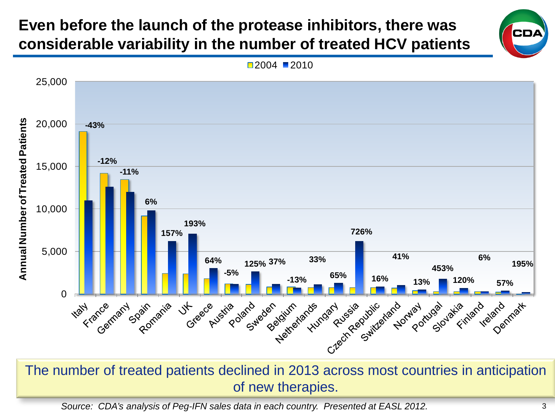### **Even before the launch of the protease inhibitors, there was considerable variability in the number of treated HCV patients**

**Annual Number of Treated Patients**

**Annual Number of Treated Patients** 



The number of treated patients declined in 2013 across most countries in anticipation of new therapies.

*Source: CDA's analysis of Peg-IFN sales data in each country. Presented at EASL 2012.*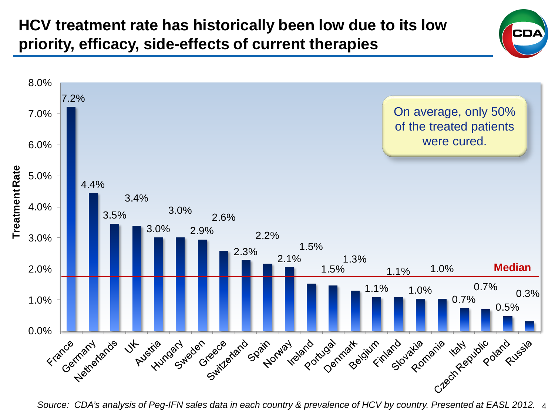

4 *Source: CDA's analysis of Peg-IFN sales data in each country & prevalence of HCV by country. Presented at EASL 2012.*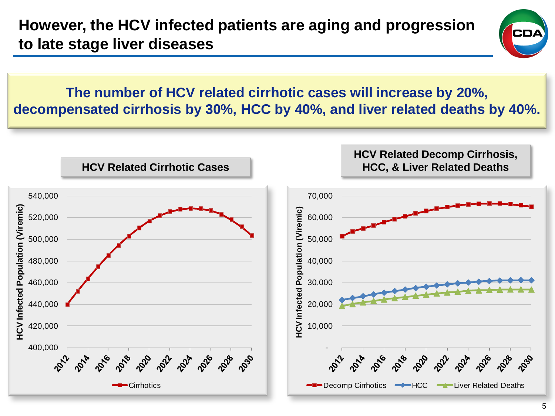**However, the HCV infected patients are aging and progression to late stage liver diseases**



**The number of HCV related cirrhotic cases will increase by 20%, decompensated cirrhosis by 30%, HCC by 40%, and liver related deaths by 40%.**

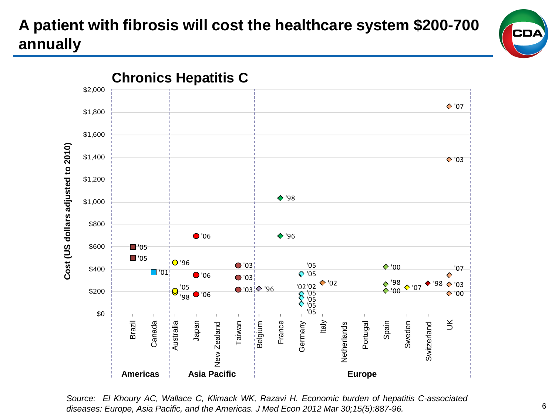# **A patient with fibrosis will cost the healthcare system \$200-700 annually**





*Source: El Khoury AC, Wallace C, Klimack WK, Razavi H. Economic burden of hepatitis C-associated diseases: Europe, Asia Pacific, and the Americas. J Med Econ 2012 Mar 30;15(5):887-96.*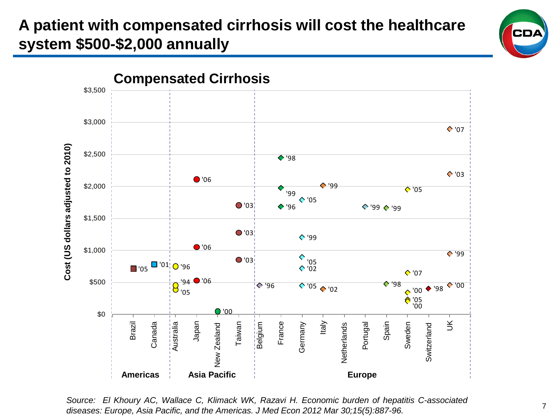## **A patient with compensated cirrhosis will cost the healthcare system \$500-\$2,000 annually**



*Source: El Khoury AC, Wallace C, Klimack WK, Razavi H. Economic burden of hepatitis C-associated diseases: Europe, Asia Pacific, and the Americas. J Med Econ 2012 Mar 30;15(5):887-96.*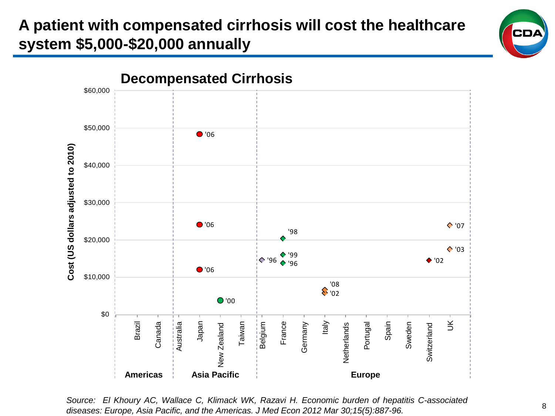## **A patient with compensated cirrhosis will cost the healthcare system \$5,000-\$20,000 annually**



*Source: El Khoury AC, Wallace C, Klimack WK, Razavi H. Economic burden of hepatitis C-associated diseases: Europe, Asia Pacific, and the Americas. J Med Econ 2012 Mar 30;15(5):887-96.*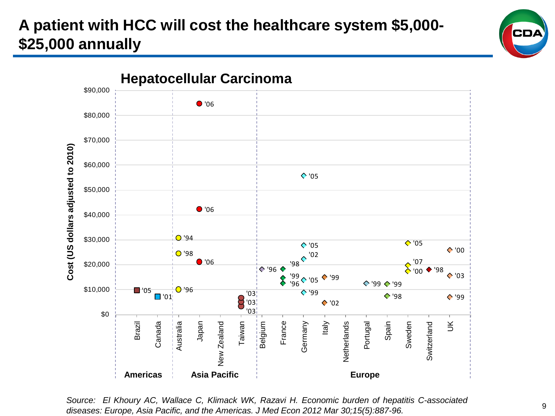## **A patient with HCC will cost the healthcare system \$5,000- \$25,000 annually**



*Source: El Khoury AC, Wallace C, Klimack WK, Razavi H. Economic burden of hepatitis C-associated diseases: Europe, Asia Pacific, and the Americas. J Med Econ 2012 Mar 30;15(5):887-96.*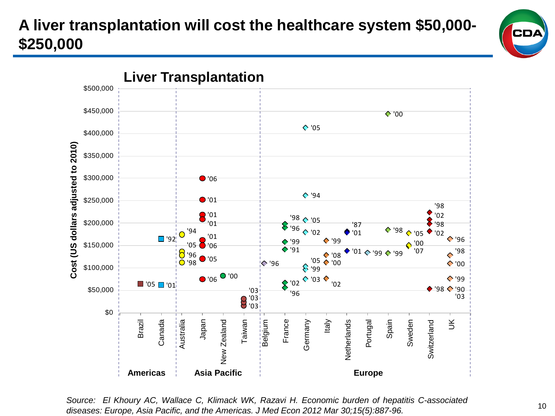# **A liver transplantation will cost the healthcare system \$50,000- \$250,000**



*Source: El Khoury AC, Wallace C, Klimack WK, Razavi H. Economic burden of hepatitis C-associated diseases: Europe, Asia Pacific, and the Americas. J Med Econ 2012 Mar 30;15(5):887-96.*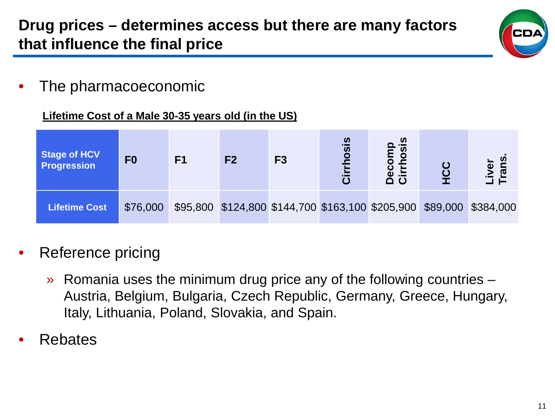

• The pharmacoeconomic

#### **Lifetime Cost of a Male 30-35 years old (in the US)**

| Stage of HCV<br><b>Progression</b> | F <sub>0</sub> | F <sub>1</sub> | F <sub>2</sub> | F <sub>3</sub> | hosis<br>$\bar{5}$ | <b>aiso</b><br>ecom<br>Dec<br>Cirr                                  | rans<br>Liver<br>Tr |
|------------------------------------|----------------|----------------|----------------|----------------|--------------------|---------------------------------------------------------------------|---------------------|
| Lifetime Cost                      | \$76,000       |                |                |                |                    | \$95,800 \$124,800 \$144,700 \$163,100 \$205,900 \$89,000 \$384,000 |                     |

### Reference pricing

- » Romania uses the minimum drug price any of the following countries Austria, Belgium, Bulgaria, Czech Republic, Germany, Greece, Hungary, Italy, Lithuania, Poland, Slovakia, and Spain.
- Rebates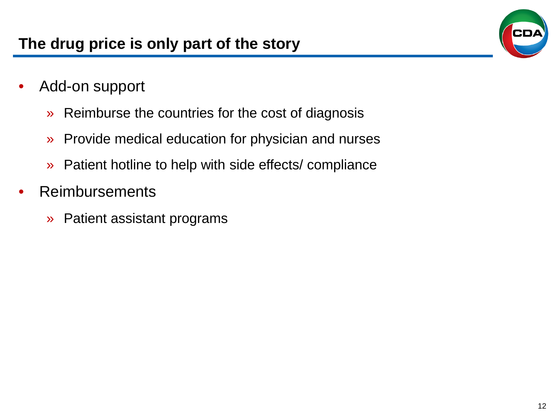- Add-on support
	- » Reimburse the countries for the cost of diagnosis
	- » Provide medical education for physician and nurses
	- » Patient hotline to help with side effects/ compliance
- **Reimbursements** 
	- » Patient assistant programs

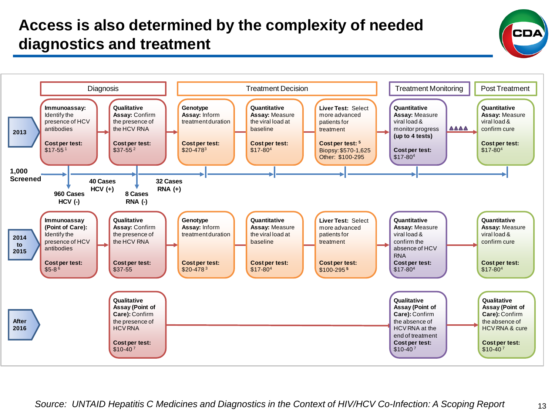### **Access is also determined by the complexity of needed diagnostics and treatment**



13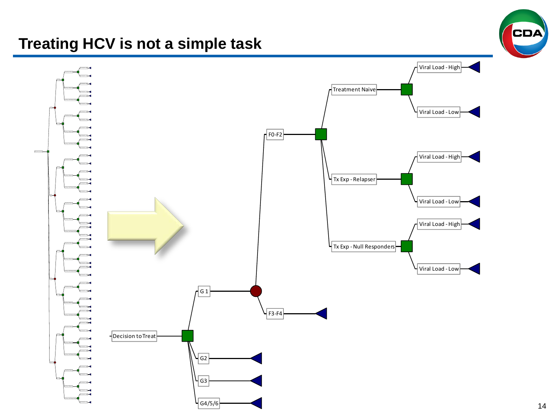#### **Treating HCV is not a simple task**